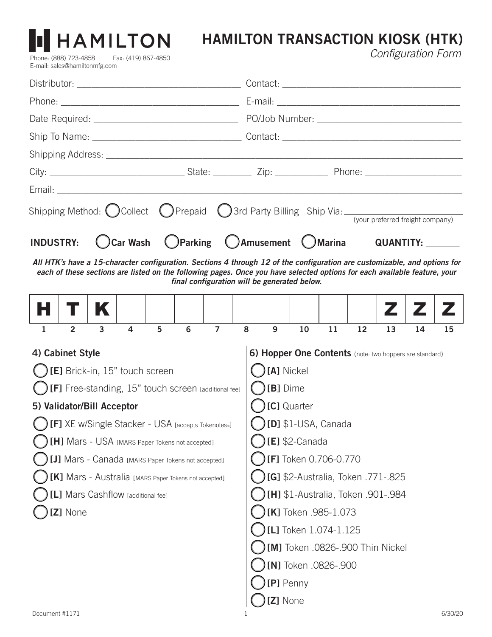# **HAMILTON TRANSACTION KIOSK (HTK)** Configuration Form

| Shipping Method: $\bigcirc$ Collect $\bigcirc$ Prepaid $\bigcirc$ 3rd Party Billing Ship Via: $\frac{1}{\text{``you preferred freight company)}}$                         |                                    |                                                         |    |    |    |    |    |    |
|---------------------------------------------------------------------------------------------------------------------------------------------------------------------------|------------------------------------|---------------------------------------------------------|----|----|----|----|----|----|
|                                                                                                                                                                           |                                    |                                                         |    |    |    |    |    |    |
| Car Wash C Parking C Amusement C Marina QUANTITY:<br><b>INDUSTRY:</b>                                                                                                     |                                    |                                                         |    |    |    |    |    |    |
| All HTK's have a 15-character configuration. Sections 4 through 12 of the configuration are customizable, and options for                                                 |                                    |                                                         |    |    |    |    |    |    |
| each of these sections are listed on the following pages. Once you have selected options for each available feature, your<br>final configuration will be generated below. |                                    |                                                         |    |    |    |    |    |    |
|                                                                                                                                                                           |                                    |                                                         |    |    |    | Z  |    |    |
|                                                                                                                                                                           |                                    |                                                         |    |    |    |    |    |    |
| $\overline{7}$<br>$\overline{2}$<br>$\overline{3}$<br>5<br>6<br>$\overline{4}$<br>$\mathbf{1}$                                                                            | 8                                  | 9                                                       | 10 | 11 | 12 | 13 | 14 | 15 |
| 4) Cabinet Style                                                                                                                                                          |                                    | 6) Hopper One Contents (note: two hoppers are standard) |    |    |    |    |    |    |
| $\bigcirc$ [E] Brick-in, 15" touch screen                                                                                                                                 | [A] Nickel                         |                                                         |    |    |    |    |    |    |
| $\bigcup$ [F] Free-standing, 15" touch screen [additional fee]                                                                                                            | $\bigcirc$ [B] Dime                |                                                         |    |    |    |    |    |    |
| [C] Quarter<br>5) Validator/Bill Acceptor                                                                                                                                 |                                    |                                                         |    |    |    |    |    |    |
| <b>[ ] [F]</b> XE w/Single Stacker - USA [accepts Tokenotes®]                                                                                                             | $\bigcirc$ [D] \$1-USA, Canada     |                                                         |    |    |    |    |    |    |
| [H] Mars - USA [MARS Paper Tokens not accepted]                                                                                                                           | $[E]$ \$2-Canada                   |                                                         |    |    |    |    |    |    |
| [J] Mars - Canada [MARS Paper Tokens not accepted]                                                                                                                        | [F] Token 0.706-0.770              |                                                         |    |    |    |    |    |    |
| [K] Mars - Australia [MARS Paper Tokens not accepted]                                                                                                                     | [G] \$2-Australia, Token .771-.825 |                                                         |    |    |    |    |    |    |
| [L] Mars Cashflow [additional fee]                                                                                                                                        |                                    | [H] \$1-Australia, Token .901-.984                      |    |    |    |    |    |    |
| [Z] None                                                                                                                                                                  |                                    | [K] Token .985-1.073                                    |    |    |    |    |    |    |
|                                                                                                                                                                           |                                    | [L] Token 1.074-1.125                                   |    |    |    |    |    |    |
|                                                                                                                                                                           |                                    | [M] Token .0826-.900 Thin Nickel                        |    |    |    |    |    |    |
|                                                                                                                                                                           |                                    | [N] Token .0826-.900                                    |    |    |    |    |    |    |
|                                                                                                                                                                           |                                    | [P] Penny                                               |    |    |    |    |    |    |
|                                                                                                                                                                           |                                    | [Z] None                                                |    |    |    |    |    |    |

Phone: (888) 723-4858 Fax: (419) 867-4850

HAMILTON

E-mail: sales@hamiltonmfg.com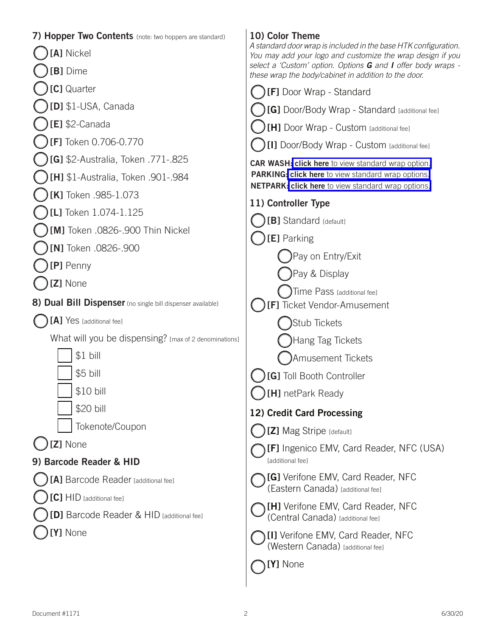| 7) Hopper Two Contents (note: two hoppers are standard)     | 10) Color Theme                                                                                                               |
|-------------------------------------------------------------|-------------------------------------------------------------------------------------------------------------------------------|
| [A] Nickel                                                  | A standard door wrap is included in the base HTK configuration.<br>You may add your logo and customize the wrap design if you |
| [B] Dime                                                    | select a 'Custom' option. Options G and I offer body wraps -<br>these wrap the body/cabinet in addition to the door.          |
| [C] Quarter                                                 | [F] Door Wrap - Standard                                                                                                      |
| [D] \$1-USA, Canada                                         | [G] Door/Body Wrap - Standard [additional fee]                                                                                |
| $[E]$ \$2-Canada                                            | [H] Door Wrap - Custom [additional fee]                                                                                       |
| [F] Token 0.706-0.770                                       | [I] Door/Body Wrap - Custom [additional fee]                                                                                  |
| [G] \$2-Australia, Token .771-.825                          | <b>CAR WASH: click here</b> to view standard wrap option.                                                                     |
| [H] \$1-Australia, Token .901-.984                          | PARKING: click here to view standard wrap options.<br><b>NETPARK: click here</b> to view standard wrap options.               |
| [K] Token .985-1.073                                        | 11) Controller Type                                                                                                           |
| [L] Token 1.074-1.125                                       | [B] Standard [default]                                                                                                        |
| [M] Token .0826-.900 Thin Nickel                            | [E] Parking                                                                                                                   |
| [N] Token .0826-.900                                        | Pay on Entry/Exit                                                                                                             |
| [P] Penny                                                   | )Pay & Display                                                                                                                |
| [Z] None                                                    | $\int$ Time Pass [additional fee]                                                                                             |
| 8) Dual Bill Dispenser (no single bill dispenser available) | [F] Ticket Vendor-Amusement                                                                                                   |
| [A] Yes [additional fee]                                    | Stub Tickets                                                                                                                  |
| What will you be dispensing? [max of 2 denominations]       | Hang Tag Tickets                                                                                                              |
| $$1$ bill                                                   | Amusement Tickets                                                                                                             |
| \$5 bill                                                    | [G] Toll Booth Controller                                                                                                     |
| \$10 bill                                                   | [H] netPark Ready                                                                                                             |
| \$20 bill                                                   | 12) Credit Card Processing                                                                                                    |
| Tokenote/Coupon                                             | [Z] Mag Stripe [default]                                                                                                      |
| [Z] None                                                    | <b>[F]</b> Ingenico EMV, Card Reader, NFC (USA)                                                                               |
| 9) Barcode Reader & HID                                     | [additional fee]                                                                                                              |
| [A] Barcode Reader [additional fee]                         | [G] Verifone EMV, Card Reader, NFC<br>(Eastern Canada) [additional fee]                                                       |
| [C] HID [additional fee]                                    | [H] Verifone EMV, Card Reader, NFC                                                                                            |
| [D] Barcode Reader & HID [additional fee]                   | (Central Canada) [additional fee]                                                                                             |
| Y] None                                                     | [I] Verifone EMV, Card Reader, NFC<br>(Western Canada) [additional fee]                                                       |
|                                                             | [Y] None                                                                                                                      |
|                                                             |                                                                                                                               |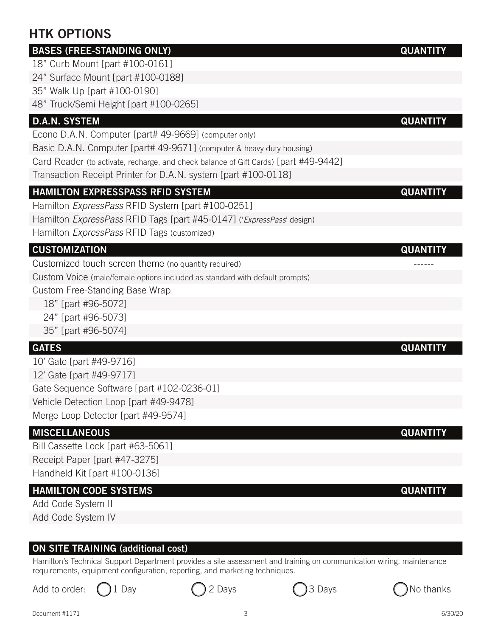# **HTK OPTIONS**

## **BASES (FREE-STANDING ONLY) QUANTITY**

18" Curb Mount [part #100-0161]

24" Surface Mount [part #100-0188]

35" Walk Up [part #100-0190]

48" Truck/Semi Height [part #100-0265]

### **D.A.N. SYSTEM QUANTITY**

Econo D.A.N. Computer [part# 49-9669] (computer only)

Basic D.A.N. Computer [part# 49-9671] (computer & heavy duty housing)

Card Reader (to activate, recharge, and check balance of Gift Cards) [part #49-9442]

Transaction Receipt Printer for D.A.N. system [part #100-0118]

### **HAMILTON EXPRESSPASS RFID SYSTEM QUANTITY**

Hamilton *ExpressPass* RFID System [part #100-0251]

Hamilton ExpressPass RFID Tags [part #45-0147] ('ExpressPass' design)

Hamilton ExpressPass RFID Tags (customized)

### **CUSTOMIZATION QUANTITY**

Customized touch screen theme (no quantity required) ------

Custom Voice (male/female options included as standard with default prompts)

Custom Free-Standing Base Wrap

- 18" [part #96-5072]
- 24" [part #96-5073]
- 35" [part #96-5074]

10' Gate [part #49-9716] 12' Gate [part #49-9717] Gate Sequence Software [part #102-0236-01] Vehicle Detection Loop [part #49-9478] Merge Loop Detector [part #49-9574]

#### **MISCELLANEOUS QUANTITY**

Bill Cassette Lock [part #63-5061] Receipt Paper [part #47-3275] Handheld Kit [part #100-0136]

#### **HAMILTON CODE SYSTEMS QUANTITY**

Add Code System II Add Code System IV

#### **ON SITE TRAINING (additional cost)**

Hamilton's Technical Support Department provides a site assessment and training on communication wiring, maintenance requirements, equipment configuration, reporting, and marketing techniques.





#### **GATES QUANTITY**